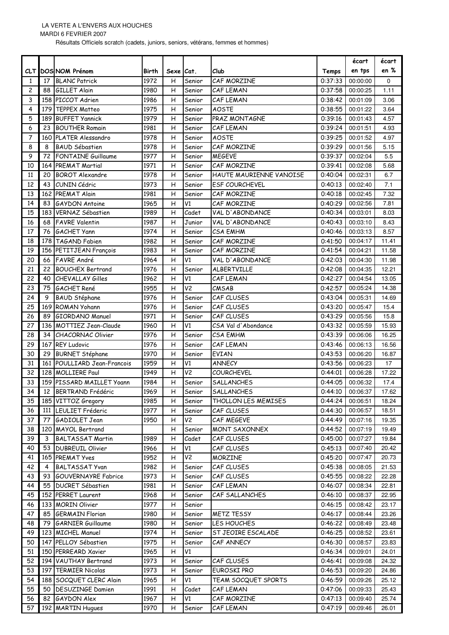MARDI 6 FEVRIER 2007

Résultats Officiels scratch (cadets, juniors, seniors, vétérans, femmes et hommes)

|                 |     |                                     |       |                |                |                         |                    | écart            | écart    |
|-----------------|-----|-------------------------------------|-------|----------------|----------------|-------------------------|--------------------|------------------|----------|
|                 |     | <b>CLT DOSINOM Prénom</b>           | Birth | Sexe Cat.      |                | Club                    | Temps              | en tps           | en %     |
| 1               | 17  | <b>BLANC Patrick</b>                | 1972  | н              | Senior         | CAF MORZINE             | 0:37:33            | 00:00:00         | $\Omega$ |
| 2               | 88  | <b>GILLET Alain</b>                 | 1980  | Η              | Senior         | CAF LEMAN               | 0:37:58            | 00:00:25         | 1.11     |
| 3               |     | 158 PICCOT Adrien                   | 1986  | Η              | Senior         | CAF LEMAN               | 0:38:42            | 00:01:09         | 3.06     |
| 4               | 179 | <b>TEPPEX Matteo</b>                | 1975  | Н              | Senior         | <b>AOSTE</b>            | 0:38:55            | 00:01:22         | 3.64     |
| 5               |     | 189 BUFFET Yannick                  | 1979  | н              | Senior         | <b>PRAZ MONTAGNE</b>    | 0:39:16            | 00:01:43         | 4.57     |
| 6               | 23  | <b>BOUTHER Romain</b>               | 1981  | н              | Senior         | CAF LEMAN               | 0:39:24            | 00:01:51         | 4.93     |
| 7               |     | 160 PLATER Alessandro               | 1978  | Η              | Senior         | <b>AOSTE</b><br>0:39:25 |                    | 00:01:52         | 4.97     |
| 8               | 8   | <b>BAUD Sébastien</b>               | 1978  | $\mathsf{H}$   | Senior         | CAF MORZINE             |                    | 00:01:56         | 5.15     |
| 9               | 72  | <b>FONTAINE Guillaume</b>           | 1977  | Η              | Senior         | <b>MEGEVE</b>           | 0:39:29<br>0:39:37 | 00:02:04         | 5.5      |
| 10              |     | 164 PREMAT Martial                  | 1971  | Н              | Senior         | CAF MORZINE             | 0:39:41            | 00:02:08         | 5.68     |
| 11              | 20  | <b>BOROT Alexandre</b>              | 1978  | Н              | Senior         | HAUTE MAURIENNE VANOISE | 0:40:04            | 00:02:31         | 6.7      |
| 12              | 43  | CUNIN Cédric                        | 1973  | Η              | Senior         | <b>ESF COURCHEVEL</b>   | 0:40:13            | 00:02:40         | 7.1      |
| 13              |     | 162 PREMAT Alain                    | 1981  | H              | Senior         | CAF MORZINE             | 0:40:18            | 00:02:45         | 7.32     |
| 14              | 83  | <b>GAYDON Antoine</b>               | 1965  | Н              | V1             | CAF MORZINE             | 0:40:29            | 00:02:56         | 7.81     |
| 15              |     | 183 VERNAZ Sébastien                | 1989  | Η              | Cadet          | VAL D'ABONDANCE         | 0:40:34            | 00:03:01         | 8.03     |
| 16              | 68  | <b>FAVRE Valentin</b>               | 1987  | Η              | Junior         | VAL D'ABONDANCE         | 0:40:43            | 00:03:10         | 8.43     |
| 17              | 76  | <b>GACHET Yann</b>                  | 1974  | Η              | Senior         | CSA EMHM                | 0:40:46            | 00:03:13         | 8.57     |
| 18              |     | 178 TAGAND Fabien                   | 1982  | Η              | Senior         | CAF MORZINE             | 0:41:50            | 00:04:17         | 11.41    |
| 19              |     | 156 PETITJEAN François              | 1983  | Η              | Senior         | CAF MORZINE             | 0:41:54            | 00:04:21         | 11.58    |
| 20              | 66  | <b>FAVRE</b> André                  | 1964  | H              | V1             | VAL D'ABONDANCE         | 0:42:03            | 00:04:30         | 11.98    |
| 21              | 22  |                                     |       |                |                |                         |                    | 00:04:35         | 12.21    |
|                 |     | <b>BOUCHEX Bertrand</b>             | 1976  | Н              | Senior<br>V1   | ALBERTVILLE             | 0:42:08            |                  |          |
| 22              | 40  | CHEVALLAY Gilles                    | 1962  | Н              |                | CAF LEMAN               | 0:42:27            | 00:04:54         | 13.05    |
| 23              | 75  | <b>GACHET René</b>                  | 1955  | Н              | V <sub>2</sub> | CMSAB                   | 0:42:57            | 00:05:24         | 14.38    |
| 24              | 9   | <b>BAUD Stéphane</b>                | 1976  | Н              | Senior         | CAF CLUSES              | 0:43:04            | 00:05:31         | 14.69    |
| 25              |     | 169 ROMAN Yohann                    | 1976  | Η              | Senior         | CAF CLUSES              | 0:43:20            | 00:05:47         | 15.4     |
| 26              | 89  | <b>GIORDANO Manuel</b>              | 1971  | H              | Senior         | CAF CLUSES              | 0:43:29            | 00:05:56         | 15.8     |
| 27              |     | 136 MOTTIEZ Jean-Claude             | 1960  | Н              | V1             | CSA Val d'Abondance     | 0:43:32            | 00:05:59         | 15.93    |
| 28              | 34  | <b>CHACORNAC Olivier</b>            | 1976  | Η              | Senior         | <b>CSA EMHM</b>         | 0:43:39            | 00:06:06         | 16.25    |
| 29              |     | 167 REY Ludovic                     | 1976  | Η              | Senior         | CAF LEMAN               | 0:43:46            | 00:06:13         | 16.56    |
| 30              | 29  | <b>BURNET Stéphane</b>              | 1970  | н              | Senior         | <b>EVIAN</b>            | 0:43:53            | 00:06:20         | 16.87    |
| 31              |     | 161 POULLIARD Jean-Francois         | 1959  | Η              | V1             | <b>ANNECY</b>           | 0:43:56            | 00:06:23         | 17       |
| 32              |     | 128 MOLLIERE Paul                   | 1949  | Η              | V <sub>2</sub> | COURCHEVEL              | 0:44:01            | 00:06:28         | 17.22    |
| 33              |     | 159 PISSARD MAILLET Yoann           | 1984  | Н              | Senior         | SALLANCHES              | 0:44:05            | 00:06:32         | 17.4     |
| $\overline{34}$ |     | 12 BERTRAND Frédéric                | 1969  | $\overline{H}$ | Senior         | <b>SALLANCHES</b>       |                    | 0:44:10 00:06:37 | 17.62    |
| 35              |     | 185 VITTOZ Gregory                  | 1985  | н              | Senior         | THOLLON LES MEMISES     | 0:44:24            | 00:06:51         | 18.24    |
| 36              |     | 111 LEULIET Fréderic                | 1977  | н              | Senior         | CAF CLUSES              | 0:44:30            | 00:06:57         | 18.51    |
| 37              |     | 77 GADIOLET Jean                    | 1950  | н              | V <sub>2</sub> | CAF MEGEVE              | 0:44:49            | 00:07:16         | 19.35    |
| 38              |     | 120 MAYOL Bertrand                  |       | Н              | Senior         | <b>MONT SAXONNEX</b>    | 0:44:52            | 00:07:19         | 19.49    |
| 39              | 3   | <b>BALTASSAT Martin</b>             | 1989  | Η              | Cadet          | CAF CLUSES              | 0:45:00            | 00:07:27         | 19.84    |
| 40              |     | 53 DUBREUIL Olivier                 | 1966  | н              | V1             | CAF CLUSES              | 0:45:13            | 00:07:40         | 20.42    |
| 41              |     | 165 PREMAT Yves                     | 1952  | н              | V <sub>2</sub> | <b>MORZINE</b>          | 0:45:20            | 00:07:47         | 20.73    |
| 42              | 4   | <b>BALTASSAT Yvan</b>               | 1982  | н              | Senior         | CAF CLUSES              | 0:45:38            | 00:08:05         | 21.53    |
| 43              |     | 93 GOUVERNAYRE Fabrice              | 1973  | н              | Senior         | CAF CLUSES              | 0:45:55            | 00:08:22         | 22.28    |
| 44              |     | 55   DUCRET Sébastien               | 1981  | н              | Senior         | CAF LEMAN               | 0:46:07            | 00:08:34         | 22.81    |
| 45              |     | 152 PERRET Laurent                  | 1968  | н              | Senior         | CAF SALLANCHES          | 0:46:10            | 00:08:37         | 22.95    |
| 46              |     | 133 MORIN Olivier                   | 1977  | н              | Senior         |                         | 0:46:15            | 00:08:42         | 23.17    |
| 47              |     | 85 GERMAIN Florian                  | 1980  | Η              | Senior         | <b>METZ TESSY</b>       | 0:46:17            | 00:08:44         | 23.26    |
| 48              |     | 79 GARNIER Guillaume                | 1980  | н              | Senior         | LES HOUCHES             | 0:46:22            | 00:08:49         | 23.48    |
| 49              |     | 123 MICHEL Manuel                   | 1974  | н              | Senior         | ST JEOIRE ESCALADE      | 0:46:25            | 00:08:52         | 23.61    |
| 50              |     | 147 PELLOY Sébastien                | 1975  | н              | Senior         | CAF ANNECY              | 0:46:30            | 00:08:57         | 23.83    |
| 51              |     | 150 PERREARD Xavier                 | 1965  | Н              | V1             |                         | 0:46:34            | 00:09:01         | 24.01    |
| 52              |     | 194 VAUTHAY Bertrand                | 1973  | н              | Senior         | CAF CLUSES              | 0:46:41            | 00:09:08         | 24.32    |
| 53              |     | 197 TERMIER Nicolas                 | 1973  | н              | Senior         | EUROSKI PRO             | 0:46:53            | 00:09:20         | 24.86    |
| 54              |     | 188 SOCQUET CLERC Alain             | 1965  | н              | V1             | TEAM SOCQUET SPORTS     | 0:46:59            | 00:09:26         | 25.12    |
| 55              |     | 50 DESUZINGE Damien                 | 1991  | н              | Cadet          | CAF LEMAN               | 0:47:06            | 00:09:33         | 25.43    |
|                 |     |                                     |       |                |                |                         |                    |                  |          |
| 56              |     | 82 GAYDON Alex<br>192 MARTIN Hugues | 1967  | н              | V1             | CAF MORZINE             | 0:47:13            | 00:09:40         | 25.74    |
| 57              |     |                                     | 1970  | н              | Senior         | CAF LEMAN               | 0:47:19            | 00:09:46         | 26.01    |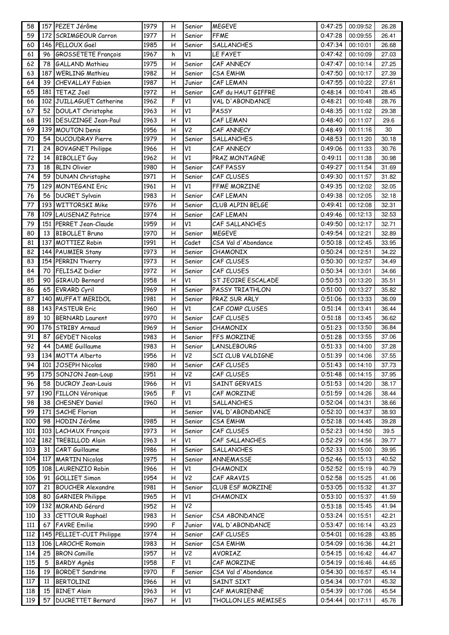| 58  |     | 157 PEZET Jérôme           | 1979 | н | Senior         | <b>MEGEVE</b>       | 0:47:25 | 00:09:52 | 26.28 |
|-----|-----|----------------------------|------|---|----------------|---------------------|---------|----------|-------|
| 59  |     | 172 SCRIMGEOUR Carron      | 1977 | Η | Senior         | <b>FFME</b>         | 0:47:28 | 00:09:55 | 26.41 |
| 60  |     | 146 PELLOUX Gaël           | 1985 | Η | Senior         | SALLANCHES          | 0:47:34 | 00:10:01 | 26.68 |
| 61  | 96  | <b>GROSSETETE François</b> | 1967 | h | V1             | LE FAYET            | 0:47:42 | 00:10:09 | 27.03 |
| 62  | 78  | <b>GALLAND Mathieu</b>     | 1975 | Η | Senior         | CAF ANNECY          | 0:47:47 | 00:10:14 | 27.25 |
| 63  | 187 | <b>WERLING Mathieu</b>     | 1982 | Η | Senior         | <b>CSA EMHM</b>     | 0:47:50 | 00:10:17 | 27.39 |
| 64  |     | 39 CHEVALLAY Fabien        | 1987 | Η | Junior         | CAF LEMAN           | 0:47:55 | 00:10:22 | 27.61 |
| 65  |     | 181 TETAZ Joël             | 1972 | н | Senior         | CAF du HAUT GIFFRE  | 0:48:14 | 00:10:41 | 28.45 |
| 66  |     | 102 JUILLAGUET Catherine   | 1962 | F | V1             | VAL D'ABONDANCE     | 0:48:21 | 00:10:48 | 28.76 |
| 67  |     | 52 DOULAT Christophe       | 1963 | н | V1             | PASSY               | 0:48:35 | 00:11:02 | 29.38 |
| 68  |     | 191   DESUZINGE Jean-Paul  | 1963 | Η | V1             | CAF LEMAN           | 0:48:40 | 00:11:07 | 29.6  |
| 69  |     | 139 MOUTON Denis           | 1956 | Н | V <sub>2</sub> | CAF ANNECY          | 0:48:49 | 00:11:16 | 30    |
| 70  |     | 54 <b>DUCOUDRAY</b> Pierre | 1979 | Η | Senior         | <b>SALLANCHES</b>   | 0:48:53 | 00:11:20 | 30.18 |
| 71  |     | 24 BOVAGNET Philippe       | 1966 | Η | V1             | CAF ANNECY          | 0:49:06 | 00:11:33 | 30.76 |
| 72  | 14  | <b>BIBOLLET Guy</b>        | 1962 | Н | V1             | PRAZ MONTAGNE       | 0:49:11 | 00:11:38 | 30.98 |
| 73  | 18  | <b>BLIN Olivier</b>        | 1980 | Η | Senior         | CAF PASSY           | 0:49:27 | 00:11:54 | 31.69 |
| 74  | 59  | DUNAN Christophe           | 1971 | н | Senior         | CAF CLUSES          | 0:49:30 | 00:11:57 | 31.82 |
| 75  |     | 129 MONTEGANI Eric         | 1961 | Η | V1             | FFME MORZINE        | 0:49:35 | 00:12:02 | 32.05 |
| 76  |     | 56 DUCRET Sylvain          | 1983 | Η | Senior         | CAF LEMAN           | 0:49:38 | 00:12:05 | 32.18 |
| 77  |     | 193 WITTORSKI Mike         | 1976 | Н | Senior         | CLUB ALPIN BELGE    | 0:49:41 | 00:12:08 | 32.31 |
| 78  |     | 109 LAUSENAZ Patrice       | 1974 | Η | Senior         | CAF LEMAN           | 0:49:46 | 00:12:13 | 32.53 |
| 79  |     | 151 PERRET Jean-Claude     | 1959 | н | V1             | CAF SALLANCHES      | 0:49:50 | 00:12:17 | 32.71 |
| 80  |     | 13 BIBOLLET Bruno          | 1970 | Η | Senior         | <b>MEGEVE</b>       | 0:49:54 | 00:12:21 | 32.89 |
| 81  |     | 137 MOTTIEZ Robin          | 1991 | Η | Cadet          | CSA Val d'Abondance | 0:50:18 | 00:12:45 | 33.95 |
| 82  |     | 144 PAUMIER Stany          | 1973 | Η | Senior         | CHAMONIX            | 0:50:24 | 00:12:51 | 34.22 |
| 83  |     | 154 PERRIN Thierry         | 1973 | Η | Senior         | CAF CLUSES          | 0:50:30 | 00:12:57 | 34.49 |
| 84  | 70  | <b>FELISAZ Didier</b>      | 1972 | Η | Senior         | CAF CLUSES          | 0:50:34 | 00:13:01 | 34.66 |
| 85  | 90  | GIRAUD Bernard             | 1958 | Η | V1             | ST JEOIRE ESCALADE  | 0:50:53 | 00:13:20 | 35.51 |
| 86  | 65  | <b>EVRARD Cyril</b>        | 1969 | н | Senior         | PASSY TRIATHLON     | 0:51:00 | 00:13:27 | 35.82 |
| 87  |     | 140 MUFFAT MERIDOL         | 1981 | Η | Senior         | PRAZ SUR ARLY       | 0:51:06 | 00:13:33 | 36.09 |
| 88  |     | 143 PASTEUR Eric           | 1960 | Η | V1             | CAF COMP CLUSES     | 0:51:14 | 00:13:41 | 36.44 |
| 89  | 10  | <b>BERNARD Laurent</b>     | 1970 | Η | Senior         | CAF CLUSES          | 0:51:18 | 00:13:45 | 36.62 |
| 90  |     | 176 STRIBY Arnaud          | 1969 | Н | Senior         | CHAMONIX            | 0:51:23 | 00:13:50 | 36.84 |
| 91  | 87  | <b>GEYDET Nicolas</b>      | 1983 | Η | Senior         | FFS MORZINE         | 0:51:28 | 00:13:55 | 37.06 |
| 92  |     | 44 DAME Guillaume          | 1983 | Η | Senior         | <b>LANSLEBOURG</b>  | 0:51:33 | 00:14:00 | 37.28 |
| 93  |     | 134 MOTTA Alberto          | 1956 | Η | V <sub>2</sub> | SCI CLUB VALDIGNE   | 0:51:39 | 00:14:06 | 37.55 |
| 94  |     | 101 JOSEPH Nicolas         | 1980 | н | Senior         | CAF CLUSES          | 0:51:43 | 00:14:10 | 37.73 |
| 95  |     | 175 SONJON Jean-Loup       | 1951 | Η | $\overline{V}$ | CAF CLUSES          | 0:51:48 | 00:14:15 | 37.95 |
| 96  |     | 58 DUCROY Jean-Louis       | 1966 | Н | $\mathsf{V1}$  | SAINT GERVAIS       | 0:51:53 | 00:14:20 | 38.17 |
| 97  |     | 190 FILLON Véronique       | 1965 | F | $\mathsf{V1}$  | CAF MORZINE         | 0:51:59 | 00:14:26 | 38.44 |
| 98  |     | 38 CHESNEY Daniel          | 1960 | н | V1             | SALLANCHES          | 0:52:04 | 00:14:31 | 38.66 |
| 99  |     | 171 SACHE Florian          |      | н | Senior         | VAL D'ABONDANCE     | 0:52:10 | 00:14:37 | 38.93 |
| 100 | 98  | HODIN Jérôme               | 1985 | н | Senior         | <b>CSA EMHM</b>     | 0:52:18 | 00:14:45 | 39.28 |
| 101 |     | 103 LACHAUX François       | 1973 | н | Senior         | CAF CLUSES          | 0:52:23 | 00:14:50 | 39.5  |
| 102 |     | 182 TREBILLOD Alain        | 1963 | н | V1             | CAF SALLANCHES      | 0:52:29 | 00:14:56 | 39.77 |
| 103 | 31  | <b>CART</b> Guillaume      | 1986 | Η | Senior         | SALLANCHES          | 0:52:33 | 00:15:00 | 39.95 |
| 104 |     | 117 MARTIN Nicolas         | 1975 | н | Senior         | ANNEMASSE           | 0:52:46 | 00:15:13 | 40.52 |
| 105 |     | 108 LAURENZIO Robin        | 1966 | н | V1             | CHAMONIX            | 0:52:52 | 00:15:19 | 40.79 |
| 106 | 91  | <b>GOLLIET Simon</b>       | 1954 | Η | V <sub>2</sub> | CAF ARAVIS          | 0:52:58 | 00:15:25 | 41.06 |
| 107 | 21  | <b>BOUCHER Alexandre</b>   | 1981 | н | Senior         | CLUB ESF MORZINE    | 0:53:05 | 00:15:32 | 41.37 |
| 108 | 80  | <b>GARNIER Philippe</b>    | 1965 | Н | V1             | <b>CHAMONIX</b>     | 0:53:10 | 00:15:37 | 41.59 |
| 109 |     | 132 MORAND Gérard          | 1952 | н | V <sub>2</sub> |                     | 0:53:18 | 00:15:45 | 41.94 |
| 110 |     | 33 CETTOUR Raphaël         | 1983 | н | Senior         | CSA ABONDANCE       | 0:53:24 | 00:15:51 | 42.21 |
| 111 | 67  | <b>FAVRE</b> Emilie        | 1990 | F | Junior         | VAL D'ABONDANCE     | 0:53:47 | 00:16:14 | 43.23 |
| 112 |     | 145 PELLIET-CUIT Philippe  | 1974 | н | Senior         | CAF CLUSES          | 0:54:01 | 00:16:28 | 43.85 |
| 113 |     | 106 LAROCHE Romain         | 1983 | н | Senior         | <b>CSA EMHM</b>     | 0:54:09 | 00:16:36 | 44.21 |
| 114 |     | 25 BRON Camille            | 1957 | н | V <sub>2</sub> | AVORIAZ             | 0:54:15 | 00:16:42 | 44.47 |
| 115 | 5   | <b>BARDY Agnès</b>         | 1958 | F | V1             | CAF MORZINE         | 0:54:19 | 00:16:46 | 44.65 |
| 116 | 19  | <b>BORDET Sandrine</b>     | 1970 | F | Senior         | CSA Val d'Abondance | 0:54:30 | 00:16:57 | 45.14 |
| 117 | 11  | <b>BERTOLINI</b>           | 1966 | Η | V1             | SAINT SIXT          | 0:54:34 | 00:17:01 | 45.32 |
| 118 | 15  | <b>BINET Alain</b>         | 1963 | Η | V1             | CAF MAURIENNE       | 0:54:39 | 00:17:06 | 45.54 |
| 119 |     | 57 DUCRETTET Bernard       | 1967 | Н | V1             | THOLLON LES MEMISES | 0:54:44 | 00:17:11 | 45.76 |
|     |     |                            |      |   |                |                     |         |          |       |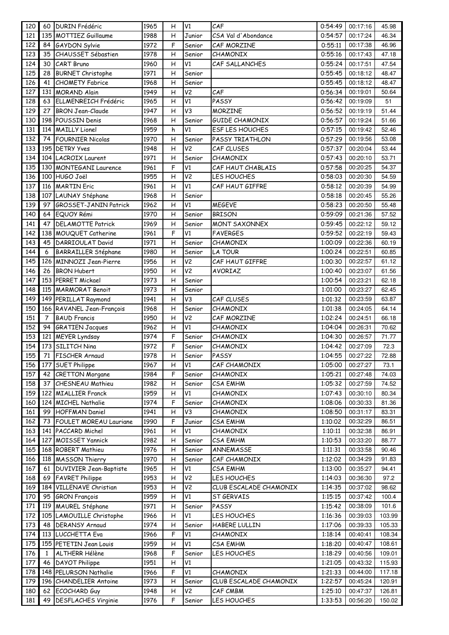| 120 | 60             | <b>DURIN</b> Frédéric         | 1965 | н | V1              | CAF                    |         | 00:17:16 | 45.98  |
|-----|----------------|-------------------------------|------|---|-----------------|------------------------|---------|----------|--------|
| 121 |                | 135 MOTTIEZ Guillaume         | 1988 | H | Junior          | CSA Val d'Abondance    | 0:54:57 | 00:17:24 | 46.34  |
| 122 | 84             | <b>GAYDON Sylvie</b>          | 1972 | F | Senior          | CAF MORZINE            | 0:55:11 | 00:17:38 | 46.96  |
| 123 | 35             | <b>CHAUSSET Sébastien</b>     | 1978 | н | Senior          | <b>CHAMONIX</b>        | 0:55:16 | 00:17:43 | 47.18  |
| 124 | 30             | <b>CART Bruno</b>             | 1960 | Н | V <sub>1</sub>  | CAF SALLANCHES         | 0:55:24 | 00:17:51 | 47.54  |
| 125 | 28             | <b>BURNET Christophe</b>      | 1971 | Н | Senior          |                        | 0:55:45 | 00:18:12 | 48.47  |
| 126 | 41             | <b>CHOMETY Fabrice</b>        | 1968 | Η | Senior          |                        | 0:55:45 | 00:18:12 | 48.47  |
| 127 | 131            | <b>MORAND Alain</b>           | 1949 | H | V <sub>2</sub>  | CAF                    | 0:56:34 | 00:19:01 | 50.64  |
| 128 | 63             | ELLMENREICH Frédéric          | 1965 | H | $\overline{V1}$ | PASSY                  | 0:56:42 | 00:19:09 | 51     |
| 129 | 27             | <b>BRON Jean-Claude</b>       | 1947 | Η | V3              | <b>MORZINE</b>         | 0:56:52 | 00:19:19 | 51.44  |
| 130 |                | 198 POUSSIN Denis             | 1968 | Н | Senior          | GUIDE CHAMONIX         | 0:56:57 | 00:19:24 | 51.66  |
| 131 |                | 114 MAILLY Lionel             | 1959 | h | V1              | <b>ESF LES HOUCHES</b> | 0:57:15 | 00:19:42 | 52.46  |
| 132 | 74             | <b>FOURNIER Nicolas</b>       | 1970 | Н | Senior          | PASSY TRIATHLON        | 0:57:29 | 00:19:56 | 53.08  |
| 133 |                | 195 DETRY Yves                | 1948 | H | V <sub>2</sub>  | CAF CLUSES             | 0:57:37 | 00:20:04 | 53.44  |
| 134 |                | 104 LACROIX Laurent           | 1971 | н | Senior          | <b>CHAMONIX</b>        | 0:57:43 | 00:20:10 | 53.71  |
| 135 |                | 130 MONTEGANI Laurence        | 1961 | F | V1              | CAF HAUT CHABLAIS      | 0:57:58 | 00:20:25 | 54.37  |
| 136 |                | 100 HUGO Joël                 | 1955 | Н | V <sub>2</sub>  | LES HOUCHES            | 0:58:03 | 00:20:30 | 54.59  |
| 137 |                | 116 MARTIN Eric               | 1961 | Η | V1              | CAF HAUT GIFFRE        | 0:58:12 | 00:20:39 | 54.99  |
| 138 |                | 107 LAUNAY Stéphane           | 1968 | Н | Senior          |                        | 0:58:18 | 00:20:45 | 55.26  |
| 139 | 97             | <b>GROSSET-JANIN Patrick</b>  | 1962 | H | V1              | <b>MEGEVE</b>          | 0:58:23 | 00:20:50 | 55.48  |
| 140 |                | 64 EQUOY Rémi                 | 1970 | Η | Senior          | <b>BRISON</b>          | 0:59:09 | 00:21:36 | 57.52  |
| 141 | 47             | <b>DELAMOTTE Patrick</b>      | 1969 | Η | Senior          | <b>MONT SAXONNEX</b>   | 0:59:45 | 00:22:12 | 59.12  |
| 142 |                | 138 MOUQUET Catherine         | 1961 | F | $\overline{V1}$ | <b>FAVERGES</b>        | 0:59:52 | 00:22:19 | 59.43  |
| 143 | 45             | DARRIOULAT David              | 1971 | Η | Senior          | CHAMONIX               | 1:00:09 | 00:22:36 | 60.19  |
| 144 | 6              | <b>BARRAILLER Stéphane</b>    | 1980 | H | Senior          | <b>LA TOUR</b>         | 1:00:24 | 00:22:51 | 60.85  |
| 145 |                | 126 MINNOZI Jean-Pierre       | 1956 | H | V <sub>2</sub>  | CAF HAUT GIFFRE        | 1:00:30 | 00:22:57 | 61.12  |
| 146 | 26             | <b>BRON Hubert</b>            | 1950 | Η | $\overline{V}$  | AVORIAZ                | 1:00:40 | 00:23:07 | 61.56  |
| 147 |                | 153 PERRET Mickael            | 1973 | н | Senior          |                        | 1:00:54 | 00:23:21 | 62.18  |
| 148 | 115            | <b>MARMORAT Benoit</b>        | 1973 | Н | Senior          |                        | 1:01:00 | 00:23:27 | 62.45  |
| 149 |                | 149 PERILLAT Raymond          | 1941 | Η | V3              | CAF CLUSES             | 1:01:32 | 00:23:59 | 63.87  |
| 150 |                | 166 RAVANEL Jean-François     | 1968 | Н | Senior          | CHAMONIX               | 1:01:38 | 00:24:05 | 64.14  |
| 151 | $\overline{7}$ | <b>BAUD Francis</b>           | 1950 | Η | V <sub>2</sub>  | CAF MORZINE            | 1:02:24 | 00:24:51 | 66.18  |
| 152 |                | 94 GRATIEN Jacques            | 1962 | H | V1              | <b>CHAMONIX</b>        | 1:04:04 | 00:26:31 | 70.62  |
| 153 |                | 121 MEYER Lyndsay             | 1974 | F | Senior          | CHAMONIX               | 1:04:30 | 00:26:57 | 71.77  |
| 154 |                | 173 SILITCH Nina              | 1972 | F | Senior          | CHAMONIX               | 1:04:42 | 00:27:09 | 72.3   |
| 155 | 71             | <b>FISCHER Arnaud</b>         | 1978 | H | Senior          | PASSY                  | 1:04:55 | 00:27:22 | 72.88  |
| 156 | 177            | <b>SUET Philippe</b>          | 1967 | н | V1              | CAF CHAMONIX           | 1:05:00 | 00:27:27 | 73.1   |
| 157 | 42             | <b>CRETTON Morgane</b>        | 1984 | F | Senior          | CHAMONIX               | 1:05:21 | 00:27:48 | 74.03  |
| 158 | 37             | <b>CHESNEAU Mathieu</b>       | 1982 | н | Senior          | <b>CSA EMHM</b>        | 1:05:32 | 00:27:59 | 74.52  |
| 159 | 122            | <b>MIALLIER Franck</b>        | 1959 | н | V1              | CHAMONIX               | 1:07:43 | 00:30:10 | 80.34  |
| 160 |                | 124 MICHEL Nathalie           | 1974 | F | Senior          | CHAMONIX               | 1:08:06 | 00:30:33 | 81.36  |
| 161 | 99             | <b>HOFFMAN Daniel</b>         | 1941 | н | V3              | CHAMONIX               | 1:08:50 | 00:31:17 | 83.31  |
| 162 | 73             | <b>FOULET MOREAU Lauriane</b> | 1990 | F | Junior          | <b>CSA EMHM</b>        | 1:10:02 | 00:32:29 | 86.51  |
| 163 |                | 141 PACCARD Michel            | 1961 | н | V1              | CHAMONIX               | 1:10:11 | 00:32:38 | 86.91  |
| 164 |                | 127 MOISSET Yannick           | 1982 | Н | Senior          | <b>CSA EMHM</b>        | 1:10:53 | 00:33:20 | 88.77  |
| 165 |                | 168 ROBERT Mathieu            | 1976 | н | Senior          | ANNEMASSE              | 1:11:31 | 00:33:58 | 90.46  |
| 166 |                | 118 MASSON Thierry            | 1970 | н | Senior          | CAF CHAMONIX           | 1:12:02 | 00:34:29 | 91.83  |
| 167 | 61             | <b>DUVIVIER Jean-Baptiste</b> | 1965 | н | V1              | <b>CSA EMHM</b>        | 1:13:00 | 00:35:27 | 94.41  |
| 168 |                | 69 FAVRET Philippe            | 1953 | Н | V <sub>2</sub>  | LES HOUCHES            | 1:14:03 | 00:36:30 | 97.2   |
| 169 |                | 184 VILLENAVE Christian       | 1953 | н | V <sub>2</sub>  | CLUB ESCALADE CHAMONIX | 1:14:35 | 00:37:02 | 98.62  |
| 170 | 95             | <b>GRON</b> François          | 1959 | н | V1              | ST GERVAIS             | 1:15:15 | 00:37:42 | 100.4  |
| 171 | 119            | MAUREL Stéphane               | 1971 | н | Senior          | PASSY                  | 1:15:42 | 00:38:09 | 101.6  |
| 172 | 105            | LAMOUILLE Christophe          | 1966 | н | V1              | LES HOUCHES            | 1:16:36 | 00:39:03 | 103.99 |
| 173 | 48             | <b>DERANSY Arnaud</b>         | 1974 | н | Senior          | HABERE LULLIN          | 1:17:06 | 00:39:33 | 105.33 |
| 174 |                | 113 LUCCHETTA Eva             | 1966 | F | V1              | CHAMONIX               | 1:18:14 | 00:40:41 | 108.34 |
| 175 |                | 155 PETETIN Jean Louis        | 1959 | н | V1              | CSA EMHM               | 1:18:20 | 00:40:47 | 108.61 |
| 176 | $\mathbf{1}$   | ALTHERR Hélène                | 1968 | F | Senior          | LES HOUCHES            | 1:18:29 | 00:40:56 | 109.01 |
| 177 | 46             | DAYOT Philippe                | 1951 | Н | V1              |                        | 1:21:05 | 00:43:32 | 115.93 |
| 178 |                | 148 PELURSON Nathalie         | 1966 | F | V1              | CHAMONIX               | 1:21:33 | 00:44:00 | 117.18 |
| 179 |                | 196 CHANDELIER Antoine        | 1973 | Н | Senior          | CLUB ESCALADE CHAMONIX | 1:22:57 | 00:45:24 | 120.91 |
| 180 | 62             | <b>ECOCHARD Guy</b>           | 1948 | Н | V <sub>2</sub>  | CAF CMBM               | 1:25:10 | 00:47:37 | 126.81 |
| 181 | 49             | <b>DESFLACHES Virginie</b>    | 1976 | F | Senior          | LES HOUCHES            | 1:33:53 | 00:56:20 | 150.02 |
|     |                |                               |      |   |                 |                        |         |          |        |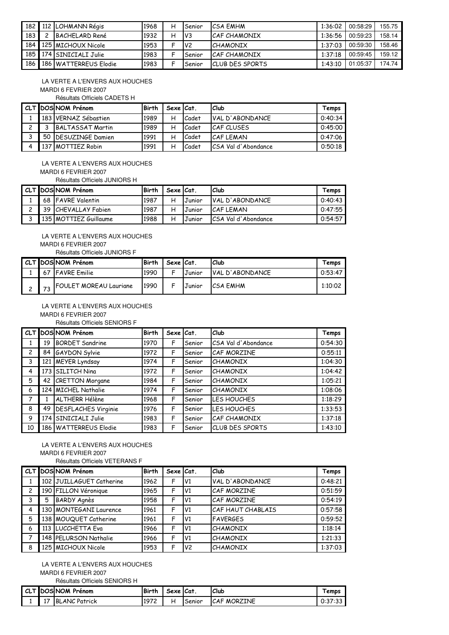|     | 182 112 LOHMANN Régis   | 1968 | н | Senior          | <b>ICSA EMHM</b>        | 1:36:02 | 00:58:29 | 155.75 |
|-----|-------------------------|------|---|-----------------|-------------------------|---------|----------|--------|
| 183 | BACHFLARD René          | 1932 | н | IV3             | <b>CAF CHAMONIX</b>     | 1:36:56 | 00:59:23 | 158.14 |
|     | 184 125 MICHOUX Nicole  | 1953 |   | IV <sub>2</sub> | <b>CHAMONIX</b>         | 1:37:03 | 00:59:30 | 158.46 |
|     | 185 174 SINICIALI Julie | 1983 |   | Senior          | <b>ICAF CHAMONIX</b>    | 1:37:18 | 00:59:45 | 159.12 |
| 186 | 186 WATTERREUS Elodie   | 1983 |   | Senior          | <b>ICLUB DES SPORTS</b> | 1:43:10 | 01:05:37 | 174.74 |

 LA VERTE A L'ENVERS AUX HOUCHES MARDI 6 FEVRIER 2007 Résultats Officiels CADETS H

|     | CLT DOS NOM Prénom          | <b>Birth</b> | Sexe Cat. |       | l Club               | Temps   |
|-----|-----------------------------|--------------|-----------|-------|----------------------|---------|
|     | 183   VERNAZ Sébastien      | 1989         | н         | Cadet | VAL D'ABONDANCE      | 0:40:34 |
|     | BALTASSAT Martin            | 1989         | н         | Cadet | CAF CLUSES           | 0:45:00 |
|     | 50 <b>IDESUZINGE</b> Damien | 1991         | н         | Cadet | CAF LEMAN            | 0:47:06 |
| 137 | <b>IMOTTIEZ Robin</b>       | 1991         |           | Cadet | ICSA Val d'Abondance | 0:50:18 |

 LA VERTE A L'ENVERS AUX HOUCHES MARDI 6 FEVRIER 2007

Résultats Officiels JUNIORS H

|  | CLT DOS NOM Prénom    | Birth | Sexe Cat. |        | Club                | Temps   |
|--|-----------------------|-------|-----------|--------|---------------------|---------|
|  | 68 FAVRE Valentin     | 1987  |           | Junior | VAL D'ABONDANCE     | 0:40:43 |
|  | 39 CHEVALLAY Fabien   | 1987  |           | Junior | ICAF LEMAN          | 0:47:55 |
|  | 135 MOTTIEZ Guillaume | 1988  |           | Junior | CSA Val d'Abondance | 0:54:57 |

 LA VERTE A L'ENVERS AUX HOUCHES MARDI 6 FEVRIER 2007 Résultats Officiels JUNIORS F

|  | CLT DOS NOM Prénom            | <b>Birth</b> | Sexe   Cat |        | Club            | Temps   |
|--|-------------------------------|--------------|------------|--------|-----------------|---------|
|  | 67 FAVRE Emilie               | 1990         | c          | Junior | VAL D'ABONDANCE | 0:53:47 |
|  | <b>FOULET MOREAU Lauriane</b> | 1990         |            | Junior | <b>CSA EMHM</b> | 1:10:02 |

## LA VERTE A L'ENVERS AUX HOUCHES

MARDI 6 FEVRIER 2007

Résultats Officiels SENIORS F

|                |    | CLT DOS NOM Prénom     | <b>Birth</b> | Sexe Cat. |        | Club                | Temps   |
|----------------|----|------------------------|--------------|-----------|--------|---------------------|---------|
| $\mathbf{1}$   | 19 | <b>BORDET Sandrine</b> | 1970         | F         | Senior | CSA Val d'Abondance | 0:54:30 |
| $\overline{c}$ |    | 84 GAYDON Sylvie       | 1972         | F         | Senior | CAF MORZINE         | 0:55:11 |
| $\mathbf{3}$   |    | 121 MEYER Lyndsay      | 1974         | F         | Senior | <b>CHAMONIX</b>     | 1:04:30 |
| 4              |    | 173 SILITCH Nina       | 1972         | F         | Senior | <b>CHAMONIX</b>     | 1:04:42 |
| 5              |    | 42 CRETTON Morgane     | 1984         | F         | Senior | <b>CHAMONIX</b>     | 1:05:21 |
| 6              |    | 124 MICHEL Nathalie    | 1974         | F         | Senior | <b>CHAMONIX</b>     | 1:08:06 |
| 7              |    | <b>ALTHERR Hélène</b>  | 1968         | F         | Senior | LES HOUCHES         | 1:18:29 |
| 8              |    | 49 DESFLACHES Virginie | 1976         | F         | Senior | LES HOUCHES         | 1:33:53 |
| 9              |    | 174 SINICIALI Julie    | 1983         | F         | Senior | CAF CHAMONIX        | 1:37:18 |
| 10             |    | 186 WATTERREUS Elodie  | 1983         | F         | Senior | CLUB DES SPORTS     | 1:43:10 |

#### LA VERTE A L'ENVERS AUX HOUCHES MARDI 6 FEVRIER 2007 Résultats Officiels VETERANS F

|                |   | CLT DOS NOM Prénom       | Birth | Sexe Cat. |                | <b>Club</b>       | Temps   |
|----------------|---|--------------------------|-------|-----------|----------------|-------------------|---------|
|                |   | 102 JUILLAGUET Catherine | 1962  | F         | V1             | VAL D'ABONDANCE   | 0:48:21 |
| $\overline{c}$ |   | 190 FILLON Véronique     | 1965  | F         | IV1            | CAF MORZINE       | 0:51:59 |
| 3              | 5 | <b>BARDY Agnès</b>       | 1958  | F         | IV1            | CAF MORZINE       | 0:54:19 |
| 4              |   | 130 MONTEGANI Laurence   | 1961  | F         | V <sub>1</sub> | CAF HAUT CHABLAIS | 0:57:58 |
| 5              |   | 138 MOUQUET Catherine    | 1961  | F         | V <sub>1</sub> | <b>FAVERGES</b>   | 0:59:52 |
| 6              |   | 113 LUCCHETTA Eva        | 1966  | F         | V <sub>1</sub> | <b>CHAMONIX</b>   | 1:18:14 |
| 7              |   | 148 PELURSON Nathalie    | 1966  | F         | V <sub>1</sub> | <b>CHAMONIX</b>   | 1:21:33 |
| 8              |   | 125 MICHOUX Nicole       | 1953  | F         | V <sub>2</sub> | <b>CHAMONIX</b>   | 1:37:03 |

# LA VERTE A L'ENVERS AUX HOUCHES

MARDI 6 FEVRIER 2007 Résultats Officiels SENIORS H

|           | CLT DOS NOM Prénom   | <b>Birth</b> | Sexe | ∆lCat.   | l Club             | emps    |
|-----------|----------------------|--------------|------|----------|--------------------|---------|
| 17<br>. . | <b>BLANC Patrick</b> | 1972         |      | . Senior | <b>CAF MORZINE</b> | 0:37:33 |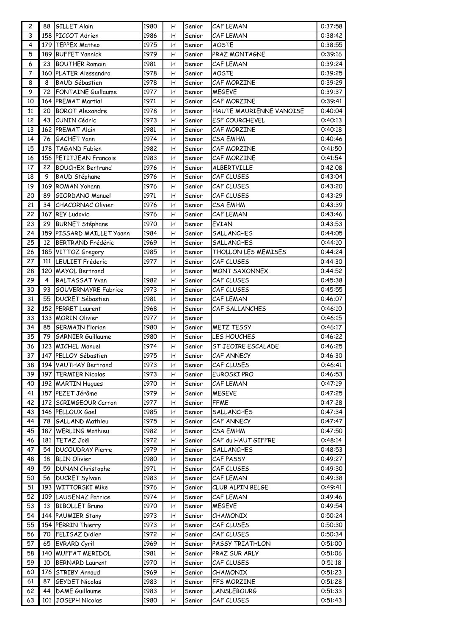| $\overline{c}$ | 88  | <b>GILLET Alain</b>        | 1980 | н | Senior | CAF LEMAN               | 0:37:58 |
|----------------|-----|----------------------------|------|---|--------|-------------------------|---------|
| $\mathsf 3$    | 158 | PICCOT Adrien              | 1986 | н | Senior | CAF LEMAN               | 0:38:42 |
| 4              |     | 179 TEPPEX Matteo          | 1975 | н | Senior | <b>AOSTE</b>            | 0:38:55 |
| 5              | 189 | <b>BUFFET Yannick</b>      | 1979 | н | Senior | PRAZ MONTAGNE           | 0:39:16 |
| 6              | 23  | <b>BOUTHER Romain</b>      | 1981 | н | Senior | CAF LEMAN               | 0:39:24 |
| $\overline{7}$ | 160 | <b>PLATER Alessandro</b>   | 1978 | н | Senior | <b>AOSTE</b>            | 0:39:25 |
| 8              | 8   | <b>BAUD Sébastien</b>      | 1978 | н | Senior | CAF MORZINE             | 0:39:29 |
| 9              | 72  | <b>FONTAINE Guillaume</b>  | 1977 | Η | Senior | <b>MEGEVE</b>           | 0:39:37 |
| 10             | 164 | PREMAT Martial             | 1971 | н | Senior | CAF MORZINE             | 0:39:41 |
| 11             | 20  | <b>BOROT Alexandre</b>     | 1978 | н | Senior | HAUTE MAURIENNE VANOISE | 0:40:04 |
| 12             | 43  | CUNIN Cédric               | 1973 | Η | Senior | <b>ESF COURCHEVEL</b>   | 0:40:13 |
| 13             | 162 | <b>PREMAT Alain</b>        | 1981 | н | Senior | CAF MORZINE             | 0:40:18 |
| 14             | 76  | <b>GACHET Yann</b>         | 1974 | н | Senior | <b>CSA EMHM</b>         | 0:40:46 |
| 15             | 178 | TAGAND Fabien              | 1982 | н | Senior | CAF MORZINE             | 0:41:50 |
| 16             | 156 | PETITJEAN François         | 1983 | н | Senior | CAF MORZINE             | 0:41:54 |
| 17             | 22  | <b>BOUCHEX Bertrand</b>    | 1976 | н | Senior | ALBERTVILLE             | 0:42:08 |
| 18             | 9   | BAUD Stéphane              | 1976 | н | Senior | CAF CLUSES              | 0:43:04 |
| 19             | 169 | ROMAN Yohann               | 1976 | Η | Senior | CAF CLUSES              | 0:43:20 |
| 20             | 89  | GIORDANO Manuel            | 1971 | Η | Senior | CAF CLUSES              | 0:43:29 |
| 21             | 34  | CHACORNAC Olivier          | 1976 | H | Senior | <b>CSA EMHM</b>         | 0:43:39 |
| 22             | 167 | <b>REY Ludovic</b>         | 1976 | н | Senior | CAF LEMAN               | 0:43:46 |
| 23             | 29  | <b>BURNET Stéphane</b>     | 1970 | Η | Senior | EVIAN                   | 0:43:53 |
| 24             | 159 | PISSARD MAILLET Yoann      | 1984 | Η | Senior | <b>SALLANCHES</b>       | 0:44:05 |
| 25             | 12  | <b>BERTRAND Frédéric</b>   | 1969 | н | Senior | <b>SALLANCHES</b>       | 0:44:10 |
| 26             | 185 | VITTOZ Gregory             | 1985 | н | Senior | THOLLON LES MEMISES     | 0:44:24 |
| 27             | 111 | LEULIET Fréderic           | 1977 | Η | Senior | CAF CLUSES              | 0:44:30 |
| 28             | 120 | <b>MAYOL Bertrand</b>      |      | н | Senior | <b>MONT SAXONNEX</b>    | 0:44:52 |
| 29             | 4   | <b>BALTASSAT Yvan</b>      | 1982 | н | Senior | CAF CLUSES              | 0:45:38 |
| 30             | 93  | <b>GOUVERNAYRE Fabrice</b> | 1973 | н | Senior | CAF CLUSES              | 0:45:55 |
| 31             | 55  | <b>DUCRET Sébastien</b>    | 1981 | н | Senior | CAF LEMAN               | 0:46:07 |
| 32             | 152 | <b>PERRET Laurent</b>      | 1968 | н | Senior | CAF SALLANCHES          | 0:46:10 |
| 33             |     | 133 MORIN Olivier          | 1977 | Н | Senior |                         | 0:46:15 |
| 34             | 85  | <b>GERMAIN Florian</b>     | 1980 | н | Senior | <b>METZ TESSY</b>       | 0:46:17 |
| 35             | 79  | <b>GARNIER Guillaume</b>   | 1980 | н | Senior | LES HOUCHES             | 0:46:22 |
| 36             |     | 123 MICHEL Manuel          | 1974 | н | Senior | ST JEOIRE ESCALADE      | 0:46:25 |
| 37             |     | 147 PELLOY Sébastien       | 1975 | Η | Senior | CAF ANNECY              | 0:46:30 |
| 38             |     | 194 VAUTHAY Bertrand       | 1973 | н | Senior | CAF CLUSES              | 0:46:41 |
| 39             | 197 | <b>TERMIER Nicolas</b>     | 1973 | н | Senior | EUROSKI PRO             | 0:46:53 |
| 40             |     | 192 MARTIN Hugues          | 1970 | н | Senior | CAF LEMAN               | 0:47:19 |
| 41             | 157 | PEZET Jérôme               | 1979 | н | Senior | <b>MEGEVE</b>           | 0:47:25 |
| 42             | 172 | SCRIMGEOUR Carron          | 1977 | н | Senior | <b>FFME</b>             | 0:47:28 |
| 43             |     | 146 PELLOUX Gaël           | 1985 | н | Senior | SALLANCHES              | 0:47:34 |
| 44             | 78  | <b>GALLAND Mathieu</b>     | 1975 | н | Senior | CAF ANNECY              | 0:47:47 |
| 45             | 187 | <b>WERLING Mathieu</b>     | 1982 | н | Senior | <b>CSA EMHM</b>         | 0:47:50 |
| 46             | 181 | <b>TETAZ Joël</b>          | 1972 | Η | Senior | CAF du HAUT GIFFRE      | 0:48:14 |
| 47             | 54  | <b>DUCOUDRAY Pierre</b>    | 1979 | н | Senior | <b>SALLANCHES</b>       | 0:48:53 |
| 48             | 18  | <b>BLIN Olivier</b>        | 1980 | н | Senior | CAF PASSY               | 0:49:27 |
| 49             | 59  | <b>DUNAN Christophe</b>    | 1971 | Η | Senior | CAF CLUSES              | 0:49:30 |
| 50             | 56  | <b>DUCRET Sylvain</b>      | 1983 | Η | Senior | CAF LEMAN               | 0:49:38 |
| 51             | 193 | <b>WITTORSKI Mike</b>      | 1976 | н | Senior | CLUB ALPIN BELGE        | 0:49:41 |
| 52             | 109 | <b>LAUSENAZ Patrice</b>    | 1974 | н | Senior | CAF LEMAN               | 0:49:46 |
| 53             | 13  | <b>BIBOLLET Bruno</b>      | 1970 | н | Senior | <b>MEGEVE</b>           | 0:49:54 |
| 54             | 144 | <b>PAUMIER Stany</b>       | 1973 | н | Senior | <b>CHAMONIX</b>         | 0:50:24 |
| 55             | 154 | PERRIN Thierry             | 1973 | н | Senior | CAF CLUSES              | 0:50:30 |
| 56             | 70  | FELISAZ Didier             | 1972 | н | Senior | CAF CLUSES              | 0:50:34 |
| 57             | 65  | <b>EVRARD Cyril</b>        | 1969 | н | Senior | PASSY TRIATHLON         | 0:51:00 |
| 58             | 140 | <b>MUFFAT MERIDOL</b>      | 1981 | Η | Senior | PRAZ SUR ARLY           | 0:51:06 |
| 59             | 10  | <b>BERNARD Laurent</b>     | 1970 | н | Senior | CAF CLUSES              | 0:51:18 |
| 60             | 176 | STRIBY Arnaud              | 1969 | н | Senior | <b>CHAMONIX</b>         | 0:51:23 |
| 61             | 87  | <b>GEYDET Nicolas</b>      | 1983 | н | Senior | FFS MORZINE             | 0:51:28 |
| 62             | 44  | DAME Guillaume             | 1983 | Η | Senior | <b>LANSLEBOURG</b>      | 0:51:33 |
| 63             | 101 | JOSEPH Nicolas             | 1980 | н | Senior | CAF CLUSES              | 0:51:43 |
|                |     |                            |      |   |        |                         |         |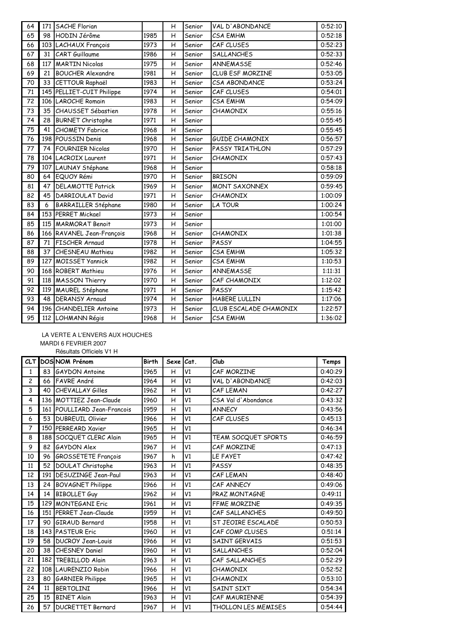| 64 | 171 | <b>SACHE Florian</b>       |      | H | Senior | VAL D'ABONDANCE        | 0:52:10 |
|----|-----|----------------------------|------|---|--------|------------------------|---------|
| 65 | 98  | HODIN Jérôme               | 1985 | H | Senior | <b>CSA EMHM</b>        | 0:52:18 |
| 66 |     | 103 LACHAUX François       | 1973 | H | Senior | CAF CLUSES             | 0:52:23 |
| 67 | 31  | <b>CART</b> Guillaume      | 1986 | H | Senior | <b>SALLANCHES</b>      | 0:52:33 |
| 68 | 117 | <b>MARTIN Nicolas</b>      | 1975 | H | Senior | <b>ANNEMASSE</b>       | 0:52:46 |
| 69 | 21  | <b>BOUCHER Alexandre</b>   | 1981 | H | Senior | CLUB ESF MORZINE       | 0:53:05 |
| 70 | 33  | <b>CETTOUR Raphaël</b>     | 1983 | H | Senior | CSA ABONDANCE          | 0:53:24 |
| 71 | 145 | PELLIET-CUIT Philippe      | 1974 | H | Senior | CAF CLUSES             | 0:54:01 |
| 72 |     | 106 LAROCHE Romain         | 1983 | H | Senior | CSA EMHM               | 0:54:09 |
| 73 | 35  | <b>CHAUSSET Sébastien</b>  | 1978 | H | Senior | CHAMONIX               | 0:55:16 |
| 74 | 28  | <b>BURNET Christophe</b>   | 1971 | H | Senior |                        | 0:55:45 |
| 75 | 41  | <b>CHOMETY Fabrice</b>     | 1968 | H | Senior |                        | 0:55:45 |
| 76 |     | 198 POUSSIN Denis          | 1968 | H | Senior | <b>GUIDE CHAMONIX</b>  | 0:56:57 |
| 77 | 74  | <b>FOURNIER Nicolas</b>    | 1970 | H | Senior | PASSY TRIATHLON        | 0:57:29 |
| 78 |     | 104 LACROIX Laurent        | 1971 | H | Senior | <b>CHAMONIX</b>        | 0:57:43 |
| 79 |     | 107 LAUNAY Stéphane        | 1968 | H | Senior |                        | 0:58:18 |
| 80 | 64  | EQUOY Rémi                 | 1970 | H | Senior | <b>BRISON</b>          | 0:59:09 |
| 81 | 47  | <b>DELAMOTTE Patrick</b>   | 1969 | H | Senior | <b>MONT SAXONNEX</b>   | 0:59:45 |
| 82 | 45  | DARRIOULAT David           | 1971 | H | Senior | CHAMONIX               | 1:00:09 |
| 83 | 6   | <b>BARRAILLER Stéphane</b> | 1980 | H | Senior | <b>LA TOUR</b>         | 1:00:24 |
| 84 |     | 153 PERRET Mickael         | 1973 | H | Senior |                        | 1:00:54 |
| 85 |     | 115 MARMORAT Benoit        | 1973 | H | Senior |                        | 1:01:00 |
| 86 |     | 166 RAVANEL Jean-François  | 1968 | H | Senior | CHAMONIX               | 1:01:38 |
| 87 | 71  | FISCHER Arnaud             | 1978 | H | Senior | PASSY                  | 1:04:55 |
| 88 | 37  | <b>CHESNEAU Mathieu</b>    | 1982 | H | Senior | <b>CSA EMHM</b>        | 1:05:32 |
| 89 | 127 | <b>MOISSET Yannick</b>     | 1982 | H | Senior | CSA EMHM               | 1:10:53 |
| 90 |     | 168 ROBERT Mathieu         | 1976 | H | Senior | ANNEMASSE              | 1:11:31 |
| 91 |     | 118 MASSON Thierry         | 1970 | H | Senior | CAF CHAMONIX           | 1:12:02 |
| 92 |     | 119 MAUREL Stéphane        | 1971 | H | Senior | PASSY                  | 1:15:42 |
| 93 | 48  | <b>DERANSY Arnaud</b>      | 1974 | H | Senior | HABERE LULLIN          | 1:17:06 |
| 94 | 196 | <b>CHANDELIER Antoine</b>  | 1973 | H | Senior | CLUB ESCALADE CHAMONIX | 1:22:57 |
| 95 |     | 112 LOHMANN Régis          | 1968 | H | Senior | CSA EMHM               | 1:36:02 |

### LA VERTE A L'ENVERS AUX HOUCHES MARDI 6 FEVRIER 2007

Résultats Officiels V1 H

|                |     | CLT DOS NOM Prénom          | <b>Birth</b> | Sexe Cat.      |                 | Club                       | Temps   |
|----------------|-----|-----------------------------|--------------|----------------|-----------------|----------------------------|---------|
| $\mathbf{1}$   |     | 83 GAYDON Antoine           | 1965         | H              | V1              | CAF MORZINE                | 0:40:29 |
| $\overline{c}$ |     | 66 FAVRE André              | 1964         | H              | V1              | VAL D'ABONDANCE            | 0:42:03 |
| 3              | 40  | <b>CHEVALLAY Gilles</b>     | 1962         | H              | V <sub>1</sub>  | CAF LEMAN                  | 0:42:27 |
| 4              |     | 136 MOTTIEZ Jean-Claude     | 1960         | H              | $\overline{V1}$ | CSA Val d'Abondance        | 0:43:32 |
| 5              |     | 161 POULLIARD Jean-Francois | 1959         | H              | V1              | <b>ANNECY</b>              | 0:43:56 |
| 6              | 53  | <b>DUBREUIL Olivier</b>     | 1966         | H              | V1              | CAF CLUSES                 | 0:45:13 |
| $\overline{7}$ |     | 150 PERREARD Xavier         | 1965         | Η              | V1              |                            | 0:46:34 |
| 8              |     | 188 SOCQUET CLERC Alain     | 1965         | H              | V1              | TEAM SOCQUET SPORTS        | 0:46:59 |
| 9              | 82  | <b>GAYDON Alex</b>          | 1967         | H              | V1              | CAF MORZINE                | 0:47:13 |
| 10             |     | 96 GROSSETETE François      | 1967         | h              | V1              | LE FAYET                   | 0:47:42 |
| 11             | 52  | <b>DOULAT Christophe</b>    | 1963         | H              | V1              | PASSY                      | 0:48:35 |
| 12             |     | 191   DESUZINGE Jean-Paul   | 1963         | $\overline{H}$ | $\overline{V1}$ | CAF LEMAN                  | 0:48:40 |
| 13             | 24  | <b>BOVAGNET Philippe</b>    | 1966         | H              | V1              | CAF ANNECY                 | 0:49:06 |
| 14             | 14  | <b>BIBOLLET Guy</b>         | 1962         | H              | V1              | PRAZ MONTAGNE              | 0:49:11 |
| 15             |     | 129 MONTEGANI Eric          | 1961         | H              | V1              | FFME MORZINE               | 0:49:35 |
| 16             |     | 151 PERRET Jean-Claude      | 1959         | H              | $\overline{V1}$ | CAF SALLANCHES             | 0:49:50 |
| 17             | 90  | GIRAUD Bernard              | 1958         | H              | V1              | ST JEOIRE ESCALADE         | 0:50:53 |
| 18             |     | 143 PASTEUR Eric            | 1960         | H              | V <sub>1</sub>  | CAF COMP CLUSES            | 0:51:14 |
| 19             | 58  | <b>DUCROY Jean-Louis</b>    | 1966         | H              | V1              | SAINT GERVAIS              | 0:51:53 |
| 20             | 38  | CHESNEY Daniel              | 1960         | $\overline{H}$ | $\overline{V1}$ | <b>SALLANCHES</b>          | 0:52:04 |
| 21             | 182 | TREBILLOD Alain             | 1963         | H              | V1              | CAF SALLANCHES             | 0:52:29 |
| 22             |     | 108 LAURENZIO Robin         | 1966         | H              | V1              | <b>CHAMONIX</b>            | 0:52:52 |
| 23             | 80  | <b>GARNIER Philippe</b>     | 1965         | H              | $\overline{V1}$ | <b>CHAMONIX</b>            | 0:53:10 |
| 24             | 11  | BERTOLINI                   | 1966         | H              | V1              | SAINT SIXT                 | 0:54:34 |
| 25             | 15  | <b>BINET Alain</b>          | 1963         | H              | V1              | CAF MAURIENNE              | 0:54:39 |
| 26             | 57  | <b>DUCRETTET Bernard</b>    | 1967         | H              | V <sub>1</sub>  | <b>THOLLON LES MEMISES</b> | 0:54:44 |